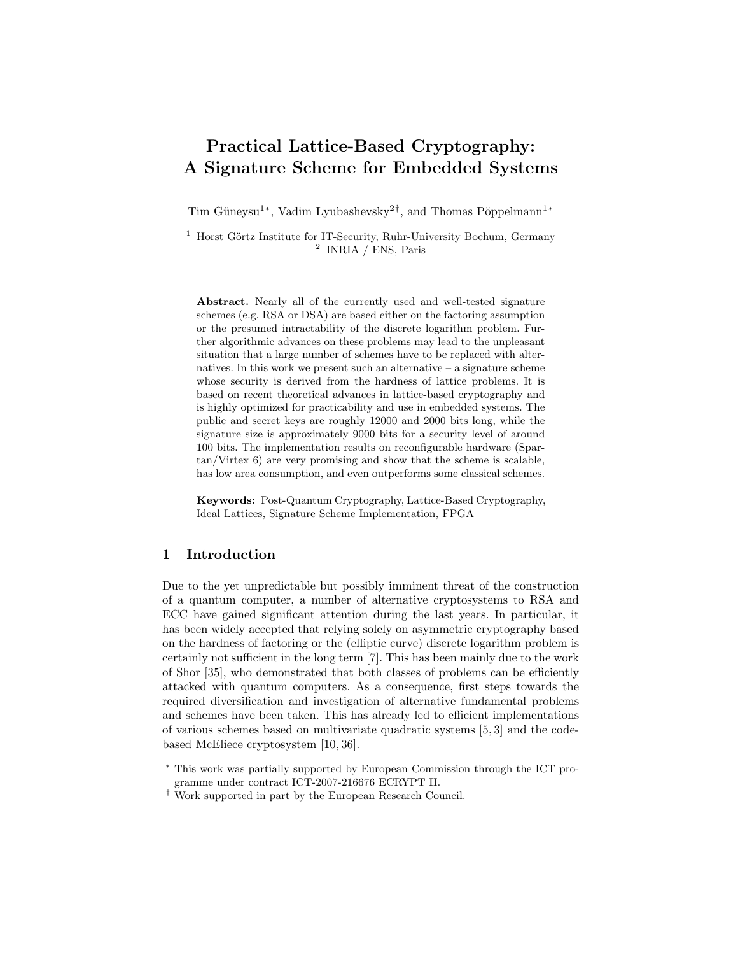# Practical Lattice-Based Cryptography: A Signature Scheme for Embedded Systems

Tim Güneysu<sup>1</sup><sup>\*</sup>, Vadim Lyubashevsky<sup>2†</sup>, and Thomas Pöppelmann<sup>1</sup><sup>\*</sup>

 $^{\rm 1}$  Horst Görtz Institute for IT-Security, Ruhr-University Bochum, Germany 2 INRIA / ENS, Paris

Abstract. Nearly all of the currently used and well-tested signature schemes (e.g. RSA or DSA) are based either on the factoring assumption or the presumed intractability of the discrete logarithm problem. Further algorithmic advances on these problems may lead to the unpleasant situation that a large number of schemes have to be replaced with alternatives. In this work we present such an alternative  $-$  a signature scheme whose security is derived from the hardness of lattice problems. It is based on recent theoretical advances in lattice-based cryptography and is highly optimized for practicability and use in embedded systems. The public and secret keys are roughly 12000 and 2000 bits long, while the signature size is approximately 9000 bits for a security level of around 100 bits. The implementation results on reconfigurable hardware (Spartan/Virtex 6) are very promising and show that the scheme is scalable, has low area consumption, and even outperforms some classical schemes.

Keywords: Post-Quantum Cryptography, Lattice-Based Cryptography, Ideal Lattices, Signature Scheme Implementation, FPGA

# 1 Introduction

Due to the yet unpredictable but possibly imminent threat of the construction of a quantum computer, a number of alternative cryptosystems to RSA and ECC have gained significant attention during the last years. In particular, it has been widely accepted that relying solely on asymmetric cryptography based on the hardness of factoring or the (elliptic curve) discrete logarithm problem is certainly not sufficient in the long term [7]. This has been mainly due to the work of Shor [35], who demonstrated that both classes of problems can be efficiently attacked with quantum computers. As a consequence, first steps towards the required diversification and investigation of alternative fundamental problems and schemes have been taken. This has already led to efficient implementations of various schemes based on multivariate quadratic systems [5, 3] and the codebased McEliece cryptosystem [10, 36].

<sup>∗</sup> This work was partially supported by European Commission through the ICT programme under contract ICT-2007-216676 ECRYPT II.

<sup>†</sup> Work supported in part by the European Research Council.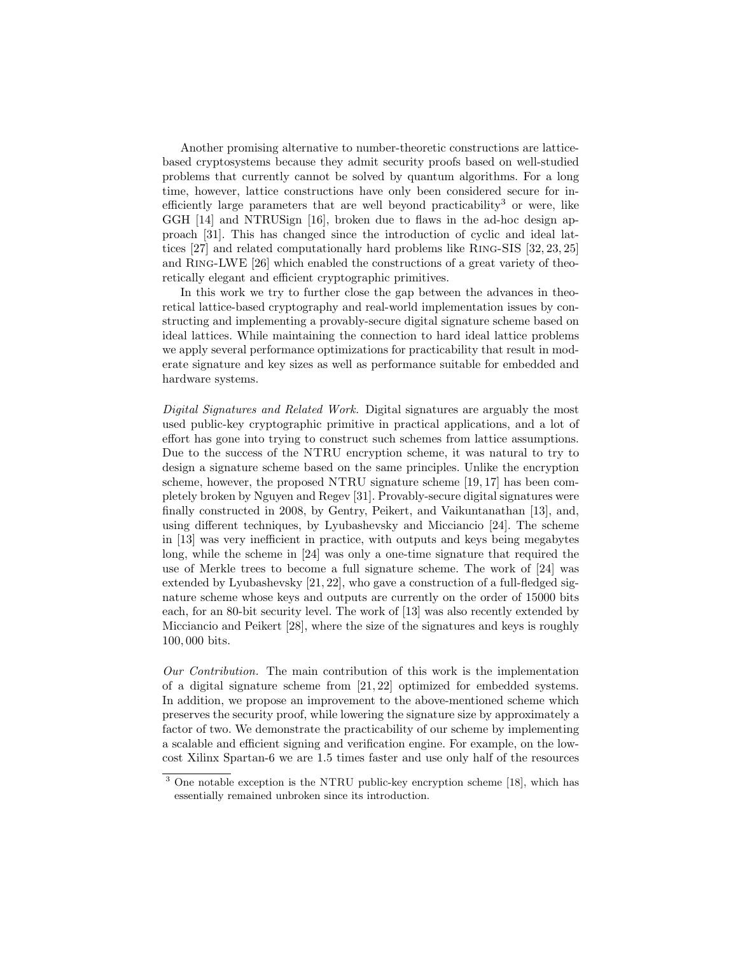Another promising alternative to number-theoretic constructions are latticebased cryptosystems because they admit security proofs based on well-studied problems that currently cannot be solved by quantum algorithms. For a long time, however, lattice constructions have only been considered secure for inefficiently large parameters that are well beyond practicability<sup>3</sup> or were, like GGH [14] and NTRUSign [16], broken due to flaws in the ad-hoc design approach [31]. This has changed since the introduction of cyclic and ideal lattices [27] and related computationally hard problems like Ring-SIS [32, 23, 25] and Ring-LWE [26] which enabled the constructions of a great variety of theoretically elegant and efficient cryptographic primitives.

In this work we try to further close the gap between the advances in theoretical lattice-based cryptography and real-world implementation issues by constructing and implementing a provably-secure digital signature scheme based on ideal lattices. While maintaining the connection to hard ideal lattice problems we apply several performance optimizations for practicability that result in moderate signature and key sizes as well as performance suitable for embedded and hardware systems.

Digital Signatures and Related Work. Digital signatures are arguably the most used public-key cryptographic primitive in practical applications, and a lot of effort has gone into trying to construct such schemes from lattice assumptions. Due to the success of the NTRU encryption scheme, it was natural to try to design a signature scheme based on the same principles. Unlike the encryption scheme, however, the proposed NTRU signature scheme [19, 17] has been completely broken by Nguyen and Regev [31]. Provably-secure digital signatures were finally constructed in 2008, by Gentry, Peikert, and Vaikuntanathan [13], and, using different techniques, by Lyubashevsky and Micciancio [24]. The scheme in [13] was very inefficient in practice, with outputs and keys being megabytes long, while the scheme in [24] was only a one-time signature that required the use of Merkle trees to become a full signature scheme. The work of [24] was extended by Lyubashevsky [21, 22], who gave a construction of a full-fledged signature scheme whose keys and outputs are currently on the order of 15000 bits each, for an 80-bit security level. The work of [13] was also recently extended by Micciancio and Peikert [28], where the size of the signatures and keys is roughly 100, 000 bits.

Our Contribution. The main contribution of this work is the implementation of a digital signature scheme from [21, 22] optimized for embedded systems. In addition, we propose an improvement to the above-mentioned scheme which preserves the security proof, while lowering the signature size by approximately a factor of two. We demonstrate the practicability of our scheme by implementing a scalable and efficient signing and verification engine. For example, on the lowcost Xilinx Spartan-6 we are 1.5 times faster and use only half of the resources

<sup>3</sup> One notable exception is the NTRU public-key encryption scheme [18], which has essentially remained unbroken since its introduction.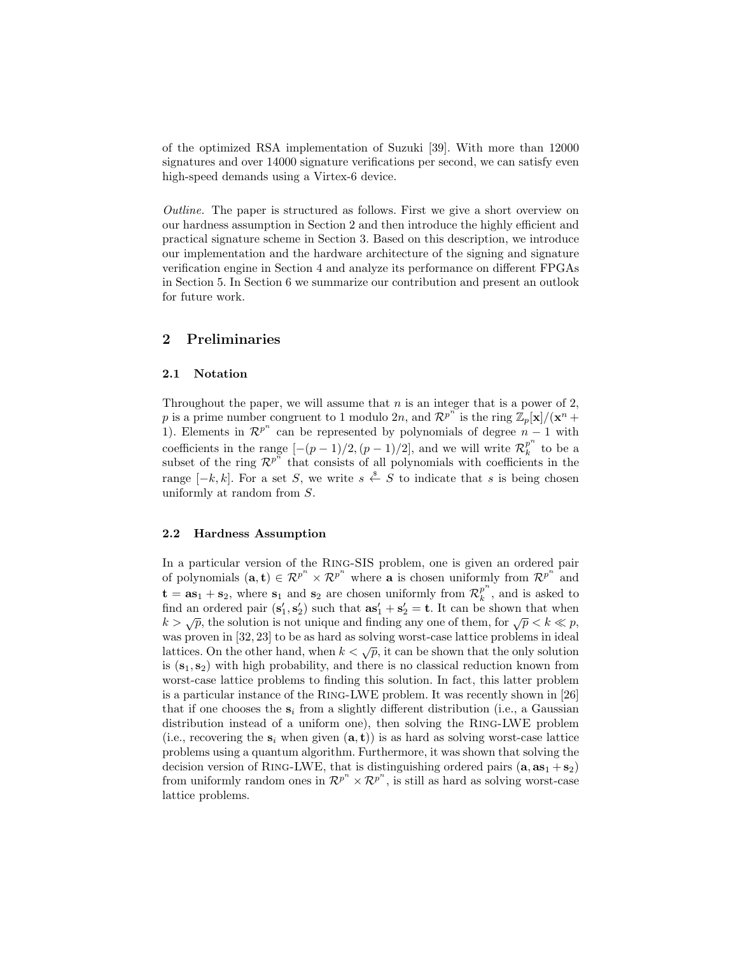of the optimized RSA implementation of Suzuki [39]. With more than 12000 signatures and over 14000 signature verifications per second, we can satisfy even high-speed demands using a Virtex-6 device.

Outline. The paper is structured as follows. First we give a short overview on our hardness assumption in Section 2 and then introduce the highly efficient and practical signature scheme in Section 3. Based on this description, we introduce our implementation and the hardware architecture of the signing and signature verification engine in Section 4 and analyze its performance on different FPGAs in Section 5. In Section 6 we summarize our contribution and present an outlook for future work.

# 2 Preliminaries

### 2.1 Notation

Throughout the paper, we will assume that  $n$  is an integer that is a power of 2, p is a prime number congruent to 1 modulo 2n, and  $\mathcal{R}^{p^n}$  is the ring  $\mathbb{Z}_p[\mathbf{x}]/(\mathbf{x}^n +$ 1). Elements in  $\mathcal{R}^{p^n}$  can be represented by polynomials of degree  $n-1$  with coefficients in the range  $[-(p-1)/2,(p-1)/2]$ , and we will write  $\mathcal{R}_k^{p^n}$  $\frac{p}{k}$  to be a subset of the ring  $\mathcal{R}^{p^n}$  that consists of all polynomials with coefficients in the range  $[-k, k]$ . For a set S, we write  $s \stackrel{\$}{\leftarrow} S$  to indicate that s is being chosen uniformly at random from S.

### 2.2 Hardness Assumption

In a particular version of the Ring-SIS problem, one is given an ordered pair of polynomials  $(a, t) \in \mathbb{R}^{p^n} \times \mathbb{R}^{p^n}$  where **a** is chosen uniformly from  $\mathbb{R}^{p^n}$  and  $\mathbf{t} = \mathbf{a} \mathbf{s}_1 + \mathbf{s}_2$ , where  $\mathbf{s}_1$  and  $\mathbf{s}_2$  are chosen uniformly from  $\mathcal{R}_k^{p^n}$  $_k^p$ , and is asked to find an ordered pair  $(\mathbf{s}'_1, \mathbf{s}'_2)$  such that  $\mathbf{as}'_1 + \mathbf{s}'_2 = \mathbf{t}$ . It can be shown that when  $k > \sqrt{p}$ , the solution is not unique and finding any one of them, for  $\sqrt{p} < k \ll p$ , was proven in [32, 23] to be as hard as solving worst-case lattice problems in ideal lattices. On the other hand, when  $k < \sqrt{p}$ , it can be shown that the only solution is  $(s_1, s_2)$  with high probability, and there is no classical reduction known from worst-case lattice problems to finding this solution. In fact, this latter problem is a particular instance of the Ring-LWE problem. It was recently shown in [26] that if one chooses the  $s_i$  from a slightly different distribution (i.e., a Gaussian distribution instead of a uniform one), then solving the Ring-LWE problem (i.e., recovering the  $s_i$  when given  $(a, t)$ ) is as hard as solving worst-case lattice problems using a quantum algorithm. Furthermore, it was shown that solving the decision version of RING-LWE, that is distinguishing ordered pairs  $(a, as<sub>1</sub> + s<sub>2</sub>)$ from uniformly random ones in  $\mathcal{R}^{p^n} \times \mathcal{R}^{p^n}$ , is still as hard as solving worst-case lattice problems.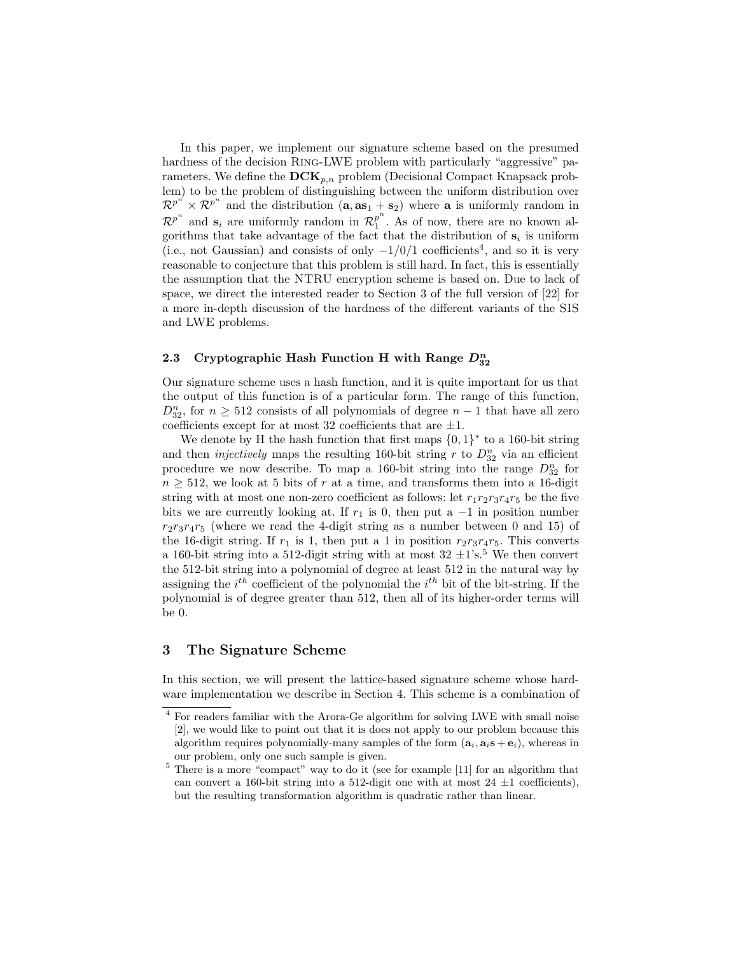In this paper, we implement our signature scheme based on the presumed hardness of the decision RING-LWE problem with particularly "aggressive" parameters. We define the  $DCK_{p,n}$  problem (Decisional Compact Knapsack problem) to be the problem of distinguishing between the uniform distribution over  $\mathcal{R}^{p^{n}} \times \mathcal{R}^{p^{n}}$  and the distribution  $(a, a s_1 + s_2)$  where a is uniformly random in  $\mathcal{R}^{p^n}$  and  $\mathbf{s}_i$  are uniformly random in  $\mathcal{R}_1^{p^n}$  $_1^p$ . As of now, there are no known algorithms that take advantage of the fact that the distribution of  $s_i$  is uniform (i.e., not Gaussian) and consists of only  $-1/0/1$  coefficients<sup>4</sup>, and so it is very reasonable to conjecture that this problem is still hard. In fact, this is essentially the assumption that the NTRU encryption scheme is based on. Due to lack of space, we direct the interested reader to Section 3 of the full version of [22] for a more in-depth discussion of the hardness of the different variants of the SIS and LWE problems.

# 2.3 Cryptographic Hash Function H with Range  $D_{32}^n$

Our signature scheme uses a hash function, and it is quite important for us that the output of this function is of a particular form. The range of this function,  $D_{32}^n$ , for  $n \geq 512$  consists of all polynomials of degree  $n-1$  that have all zero coefficients except for at most 32 coefficients that are  $\pm 1$ .

We denote by H the hash function that first maps  $\{0,1\}^*$  to a 160-bit string and then *injectively* maps the resulting 160-bit string r to  $D_{32}^n$  via an efficient procedure we now describe. To map a 160-bit string into the range  $D_{32}^n$  for  $n \geq 512$ , we look at 5 bits of r at a time, and transforms them into a 16-digit string with at most one non-zero coefficient as follows: let  $r_1r_2r_3r_4r_5$  be the five bits we are currently looking at. If  $r_1$  is 0, then put a  $-1$  in position number  $r_2r_3r_4r_5$  (where we read the 4-digit string as a number between 0 and 15) of the 16-digit string. If  $r_1$  is 1, then put a 1 in position  $r_2r_3r_4r_5$ . This converts a 160-bit string into a 512-digit string with at most  $32 \pm 1$ 's.<sup>5</sup> We then convert the 512-bit string into a polynomial of degree at least 512 in the natural way by assigning the  $i^{th}$  coefficient of the polynomial the  $i^{th}$  bit of the bit-string. If the polynomial is of degree greater than 512, then all of its higher-order terms will be 0.

# 3 The Signature Scheme

In this section, we will present the lattice-based signature scheme whose hardware implementation we describe in Section 4. This scheme is a combination of

<sup>4</sup> For readers familiar with the Arora-Ge algorithm for solving LWE with small noise [2], we would like to point out that it is does not apply to our problem because this algorithm requires polynomially-many samples of the form  $(a_i, a_i s + e_i)$ , whereas in our problem, only one such sample is given.

<sup>5</sup> There is a more "compact" way to do it (see for example [11] for an algorithm that can convert a 160-bit string into a 512-digit one with at most  $24 \pm 1$  coefficients), but the resulting transformation algorithm is quadratic rather than linear.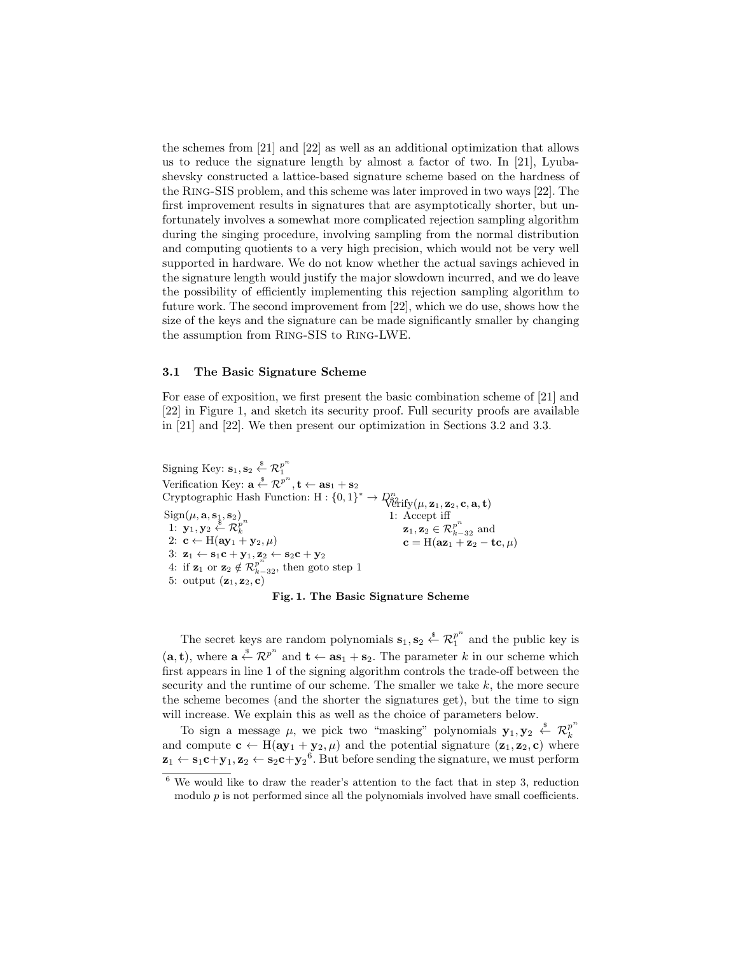the schemes from [21] and [22] as well as an additional optimization that allows us to reduce the signature length by almost a factor of two. In [21], Lyubashevsky constructed a lattice-based signature scheme based on the hardness of the Ring-SIS problem, and this scheme was later improved in two ways [22]. The first improvement results in signatures that are asymptotically shorter, but unfortunately involves a somewhat more complicated rejection sampling algorithm during the singing procedure, involving sampling from the normal distribution and computing quotients to a very high precision, which would not be very well supported in hardware. We do not know whether the actual savings achieved in the signature length would justify the major slowdown incurred, and we do leave the possibility of efficiently implementing this rejection sampling algorithm to future work. The second improvement from [22], which we do use, shows how the size of the keys and the signature can be made significantly smaller by changing the assumption from Ring-SIS to Ring-LWE.

## 3.1 The Basic Signature Scheme

For ease of exposition, we first present the basic combination scheme of [21] and [22] in Figure 1, and sketch its security proof. Full security proofs are available in [21] and [22]. We then present our optimization in Sections 3.2 and 3.3.

Signing Key:  $\mathbf{s}_1, \mathbf{s}_2 \overset{\hspace{0.1em}\mathsf{\scriptscriptstyle\$}}{\leftarrow} \mathcal{R}_1^{p^n}$ 1 Verification Key:  $\mathbf{a} \stackrel{\$}{\leftarrow} \mathcal{R}^{p^n}, \mathbf{t} \leftarrow \mathbf{as}_1 + \mathbf{s}_2$ Cryptographic Hash Function:  $H: \{0,1\}^* \to \mathbb{Q}_{\text{trif}}^n(\mu, z_1, z_2, c, a, t)$  $Sign(\mu, \mathbf{a}, \mathbf{s}_1, \mathbf{s}_2)$ 1:  $\mathbf{y}_1, \mathbf{y}_2 \stackrel{\$}{\leftarrow} \mathcal{R}_k^{p^n}$ k 2:  $\mathbf{c} \leftarrow \mathbf{H}(\mathbf{a}\mathbf{y}_1 + \mathbf{y}_2, \mu)$ 3:  $\mathbf{z}_1 \leftarrow \mathbf{s}_1 \mathbf{c} + \mathbf{y}_1, \mathbf{z}_2 \leftarrow \mathbf{s}_2 \mathbf{c} + \mathbf{y}_2$ 4: if  $\mathbf{z}_1$  or  $\mathbf{z}_2 \notin \mathcal{R}_{k-32}^{p^n}$ , then goto step 1 5: output  $(\mathbf{z}_1, \mathbf{z}_2, \mathbf{c})$ 1: Accept iff  $\mathbf{z}_1, \mathbf{z}_2 \in \mathcal{R}_{k-32}^{p^n}$  and  $\mathbf{c} = \text{H}(\mathbf{az}_1 + \mathbf{z}_2 - \mathbf{tc}, \mu)$ 

#### Fig. 1. The Basic Signature Scheme

The secret keys are random polynomials  $\mathbf{s}_1, \mathbf{s}_2 \overset{\hspace{0.1em}\mathsf{\scriptscriptstyle\$}}{\leftarrow} \mathcal{R}_1^{p^n}$  $\int_{1}^{p}$  and the public key is  $(a, t)$ , where  $a \stackrel{s}{\leftarrow} \mathcal{R}^{p^n}$  and  $t \leftarrow as_1 + s_2$ . The parameter k in our scheme which first appears in line 1 of the signing algorithm controls the trade-off between the security and the runtime of our scheme. The smaller we take  $k$ , the more secure the scheme becomes (and the shorter the signatures get), but the time to sign will increase. We explain this as well as the choice of parameters below.

To sign a message  $\mu$ , we pick two "masking" polynomials  $\mathbf{y}_1, \mathbf{y}_2 \stackrel{\hspace{0.1em}\mathsf{\scriptscriptstyle\$}}{\leftarrow} \mathcal{R}_k^{p^n}$ k and compute  $\mathbf{c} \leftarrow H(\mathbf{a}\mathbf{y}_1 + \mathbf{y}_2, \mu)$  and the potential signature  $(\mathbf{z}_1, \mathbf{z}_2, \mathbf{c})$  where  $z_1 \leftarrow s_1 c + y_1, z_2 \leftarrow s_2 c + y_2^6$ . But before sending the signature, we must perform

 $6$  We would like to draw the reader's attention to the fact that in step 3, reduction modulo p is not performed since all the polynomials involved have small coefficients.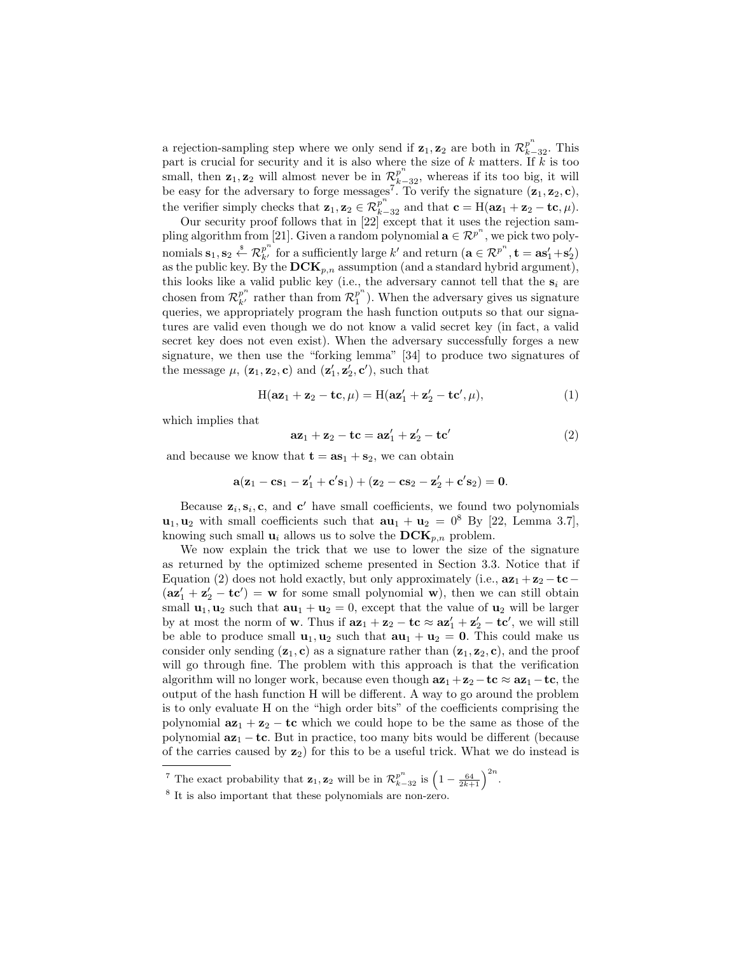a rejection-sampling step where we only send if  $z_1, z_2$  are both in  $\mathcal{R}_{k-32}^{p^n}$ . This part is crucial for security and it is also where the size of  $k$  matters. If  $k$  is too small, then  $z_1, z_2$  will almost never be in  $\mathcal{R}_{k-32}^{p^n}$ , whereas if its too big, it will be easy for the adversary to forge messages<sup>7</sup>. To verify the signature  $(\mathbf{z}_1, \mathbf{z}_2, \mathbf{c})$ , the verifier simply checks that  $\mathbf{z}_1, \mathbf{z}_2 \in \mathcal{R}_{k-32}^{p^n}$  and that  $\mathbf{c} = H(\mathbf{az}_1 + \mathbf{z}_2 - \mathbf{tc}, \mu)$ .

Our security proof follows that in [22] except that it uses the rejection sampling algorithm from [21]. Given a random polynomial  $\mathbf{a} \in \mathcal{R}^{p^n}$ , we pick two polynomials  $\mathbf{s}_1, \mathbf{s}_2 \overset{\hspace{0.1em}\mathsf{\scriptscriptstyle\$}}{\leftarrow} \mathcal{R}_{k'}^{p^n}$  for a sufficiently large  $k'$  and return  $(\mathbf{a} \in \mathcal{R}^{p^n}, \mathbf{t} = \mathbf{a}\mathbf{s}'_1 + \mathbf{s}'_2)$ as the public key. By the  $DCK_{p,n}$  assumption (and a standard hybrid argument), this looks like a valid public key (i.e., the adversary cannot tell that the  $s_i$  are chosen from  $\mathcal{R}_{k'}^{p^n}$  rather than from  $\mathcal{R}_1^{p^n}$  $_1^p$ ). When the adversary gives us signature queries, we appropriately program the hash function outputs so that our signatures are valid even though we do not know a valid secret key (in fact, a valid secret key does not even exist). When the adversary successfully forges a new signature, we then use the "forking lemma" [34] to produce two signatures of the message  $\mu$ ,  $(\mathbf{z}_1, \mathbf{z}_2, \mathbf{c})$  and  $(\mathbf{z}'_1, \mathbf{z}'_2, \mathbf{c}')$ , such that

$$
H(\mathbf{az}_1 + \mathbf{z}_2 - \mathbf{tc}, \mu) = H(\mathbf{az}'_1 + \mathbf{z}'_2 - \mathbf{tc}', \mu),\tag{1}
$$

which implies that

$$
az_1 + z_2 - tc = az'_1 + z'_2 - tc'
$$
 (2)

and because we know that  $\mathbf{t} = \mathbf{a} \mathbf{s}_1 + \mathbf{s}_2$ , we can obtain

$$
\mathbf{a}(\mathbf{z}_1-\mathbf{c}\mathbf{s}_1-\mathbf{z}_1'+\mathbf{c}'\mathbf{s}_1)+(\mathbf{z}_2-\mathbf{c}\mathbf{s}_2-\mathbf{z}_2'+\mathbf{c}'\mathbf{s}_2)=\mathbf{0}.
$$

Because  $z_i, s_i, c$ , and  $c'$  have small coefficients, we found two polynomials  $\mathbf{u}_1, \mathbf{u}_2$  with small coefficients such that  $\mathbf{a}\mathbf{u}_1 + \mathbf{u}_2 = 0^8$  By [22, Lemma 3.7], knowing such small  $\mathbf{u}_i$  allows us to solve the  $\mathbf{DCK}_{p,n}$  problem.

We now explain the trick that we use to lower the size of the signature as returned by the optimized scheme presented in Section 3.3. Notice that if Equation (2) does not hold exactly, but only approximately (i.e.,  $a\mathbf{z}_1 + \mathbf{z}_2 - \mathbf{t}\mathbf{c}$  −  $(az_1' + z_2' - tc') = w$  for some small polynomial w), then we can still obtain small  $\mathbf{u}_1, \mathbf{u}_2$  such that  $\mathbf{a}\mathbf{u}_1 + \mathbf{u}_2 = 0$ , except that the value of  $\mathbf{u}_2$  will be larger by at most the norm of **w**. Thus if  $az_1 + z_2 - tc \approx az'_1 + z'_2 - tc'$ , we will still be able to produce small  $\mathbf{u}_1, \mathbf{u}_2$  such that  $\mathbf{a}\mathbf{u}_1 + \mathbf{u}_2 = 0$ . This could make us consider only sending  $(z_1, c)$  as a signature rather than  $(z_1, z_2, c)$ , and the proof will go through fine. The problem with this approach is that the verification algorithm will no longer work, because even though  $az_1 + z_2 - tc \approx az_1 - tc$ , the output of the hash function H will be different. A way to go around the problem is to only evaluate H on the "high order bits" of the coefficients comprising the polynomial  $az_1 + z_2 - tc$  which we could hope to be the same as those of the polynomial  $az_1 - tc$ . But in practice, too many bits would be different (because of the carries caused by  $z_2$ ) for this to be a useful trick. What we do instead is

<sup>&</sup>lt;sup>7</sup> The exact probability that  $\mathbf{z}_1, \mathbf{z}_2$  will be in  $\mathcal{R}_{k-32}^{p^n}$  is  $\left(1 - \frac{64}{2k+1}\right)^{2n}$ .

<sup>8</sup> It is also important that these polynomials are non-zero.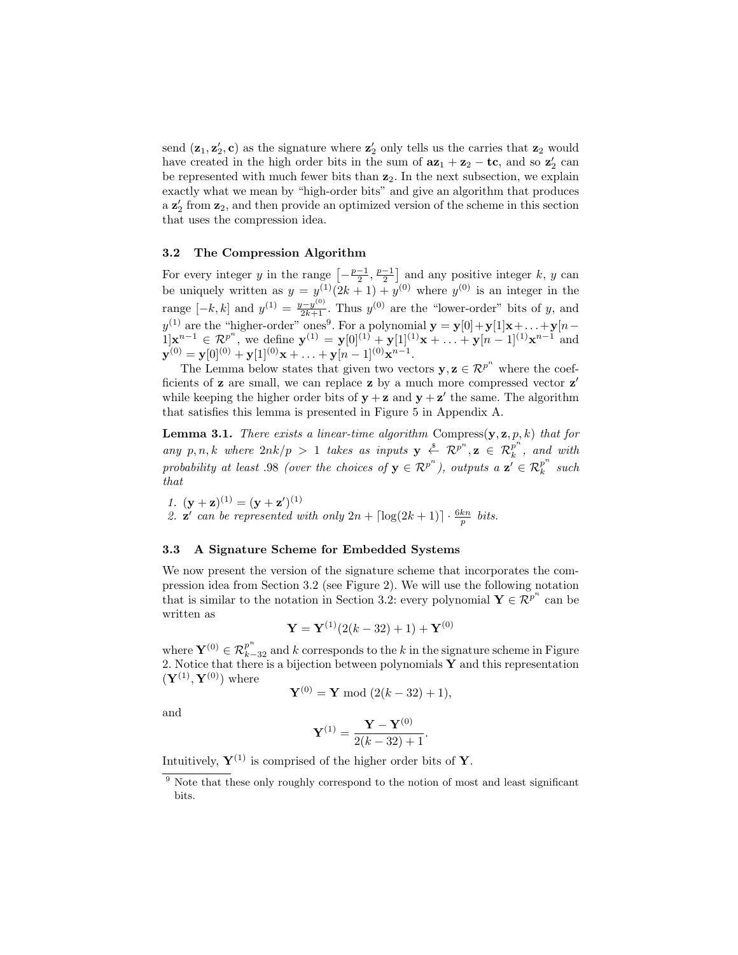send  $(\mathbf{z}_1, \mathbf{z}_2', \mathbf{c})$  as the signature where  $\mathbf{z}_2'$  only tells us the carries that  $\mathbf{z}_2$  would have created in the high order bits in the sum of  $ax_1 + x_2 - \textbf{tc}$ , and so  $z'_2$  can be represented with much fewer bits than  $z_2$ . In the next subsection, we explain exactly what we mean by "high-order bits" and give an algorithm that produces a  $\mathbf{z}'_2$  from  $\mathbf{z}_2$ , and then provide an optimized version of the scheme in this section that uses the compression idea.

## 3.2 The Compression Algorithm

For every integer y in the range  $\left[-\frac{p-1}{2}, \frac{p-1}{2}\right]$  and any positive integer k, y can be uniquely written as  $y = y^{(1)}(2k+1) + y^{(0)}$  where  $y^{(0)}$  is an integer in the range  $[-k, k]$  and  $y^{(1)} = \frac{y - y^{(0)}}{2k+1}$ . Thus  $y^{(0)}$  are the "lower-order" bits of y, and  $y^{(1)}$  are the "higher-order" ones<sup>9</sup>. For a polynomial  $\mathbf{y} = \mathbf{y}[0] + \mathbf{y}[1]\mathbf{x} + \ldots + \mathbf{y}[n-1]$  $1|\mathbf{x}^{n-1} \in \mathcal{R}^{p^n}$ , we define  $\mathbf{y}^{(1)} = \mathbf{y}[0]^{(1)} + \mathbf{y}[1]^{(1)}\mathbf{x} + \ldots + \mathbf{y}[n-1]^{(1)}\mathbf{x}^{n-1}$  and  $\mathbf{y}^{(0)} = \mathbf{y} [0]^{(0)} + \mathbf{y} [1]^{(0)} \mathbf{x} + \ldots + \mathbf{y} [n-1]^{(0)} \mathbf{x}^{n-1}.$ 

The Lemma below states that given two vectors  $y, z \in \mathbb{R}^{p^n}$  where the coefficients of  $z$  are small, we can replace  $z$  by a much more compressed vector  $z'$ while keeping the higher order bits of  $y + z$  and  $y + z'$  the same. The algorithm that satisfies this lemma is presented in Figure 5 in Appendix A.

**Lemma 3.1.** There exists a linear-time algorithm Compress $(y, z, p, k)$  that for any p, n, k where  $2nk/p > 1$  takes as inputs  $y \stackrel{s}{\leftarrow} \mathcal{R}^{p^n}, z \in \mathcal{R}_k^{p^n}$  $\frac{p}{k}$ , and with probability at least .98 (over the choices of  $y \in \mathcal{R}^{p^n}$ ), outputs  $a \mathbf{z}' \in \mathcal{R}_k^{p^n}$  $k \quad such$ that

1.  $(y + z)^{(1)} = (y + z')^{(1)}$ 2.  $\mathbf{z}'$  can be represented with only  $2n + \lfloor \log(2k + 1) \rfloor \cdot \frac{6kn}{p}$  bits.

## 3.3 A Signature Scheme for Embedded Systems

We now present the version of the signature scheme that incorporates the compression idea from Section 3.2 (see Figure 2). We will use the following notation that is similar to the notation in Section 3.2: every polynomial  $\mathbf{Y} \in \mathbb{R}^{p^n}$  can be written as

$$
\mathbf{Y} = \mathbf{Y}^{(1)}(2(k-32)+1) + \mathbf{Y}^{(0)}
$$

where  $\mathbf{Y}^{(0)} \in \mathcal{R}_{k-32}^{p^n}$  and k corresponds to the k in the signature scheme in Figure 2. Notice that there is a bijection between polynomials  $\mathbf Y$  and this representation  $(\mathbf{Y}^{(1)}, \mathbf{Y}^{(0)})$  where

$$
\mathbf{Y}^{(0)} = \mathbf{Y} \bmod (2(k-32) + 1),
$$

and

$$
\mathbf{Y}^{(1)} = \frac{\mathbf{Y} - \mathbf{Y}^{(0)}}{2(k - 32) + 1}.
$$

Intuitively,  $\mathbf{Y}^{(1)}$  is comprised of the higher order bits of Y.

<sup>&</sup>lt;sup>9</sup> Note that these only roughly correspond to the notion of most and least significant bits.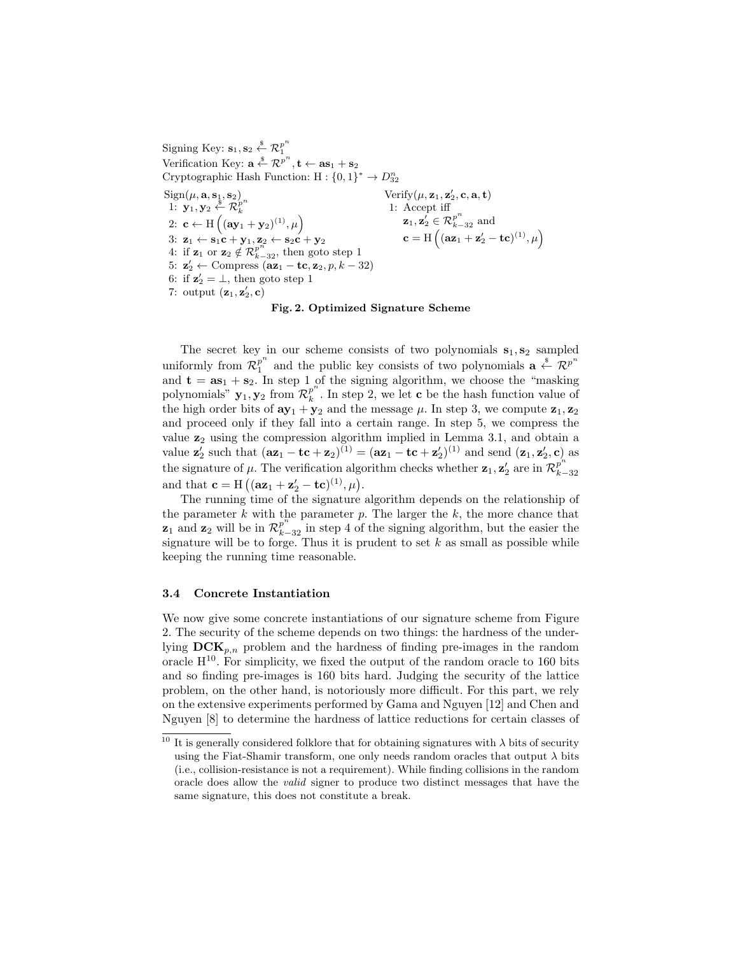Signing Key:  $\mathbf{s}_1, \mathbf{s}_2 \overset{\hspace{0.1em}\mathsf{\scriptscriptstyle\$}}{\leftarrow} \mathcal{R}_1^{p^n}$ 1 Verification Key:  $\mathbf{a} \stackrel{\$}{\leftarrow} \mathcal{R}^{p^n}, \mathbf{t} \leftarrow \mathbf{as}_1 + \mathbf{s}_2$ Cryptographic Hash Function:  $H: \{0, 1\}^* \to D_{32}^n$  $Sign(\mu, \mathbf{a}, \mathbf{s}_1, \mathbf{s}_2)$ 1:  $\mathbf{y}_1, \mathbf{y}_2 \stackrel{\$}{\leftarrow} \mathcal{R}_k^{p^n}$ k 2: **c**  $\leftarrow$  H  $((ay_1 + y_2)^{(1)}, \mu)$ 3:  $\mathbf{z}_1 \leftarrow \mathbf{s}_1 \mathbf{c} + \mathbf{y}_1, \mathbf{z}_2 \leftarrow \mathbf{s}_2 \mathbf{c} + \mathbf{y}_2$ 4: if  $\mathbf{z}_1$  or  $\mathbf{z}_2 \notin \mathcal{R}_{k-32}^{p^n}$ , then goto step 1 5:  $\mathbf{z}'_2 \leftarrow \text{Compress } (\mathbf{az}_1 - \mathbf{tc}, \mathbf{z}_2, p, k - 32)$ 6: if  $z'_2 = \perp$ , then goto step 1 7: output  $(\mathbf{z}_1, \mathbf{z}_2', \mathbf{c})$ Verify  $(\mu, \mathbf{z}_1, \mathbf{z}_2', \mathbf{c}, \mathbf{a}, \mathbf{t})$ 1: Accept iff  $\mathbf{z}_1, \mathbf{z}_2' \in \mathcal{R}_{k-32}^{p^n}$  and  $\mathbf{c} = \mathrm{H}\left( (\mathbf{a}\mathbf{z}_1 + \mathbf{z}'_2 - \mathbf{t}\mathbf{c})^{(1)}, \mu \right)$ 

## Fig. 2. Optimized Signature Scheme

The secret key in our scheme consists of two polynomials  $s_1, s_2$  sampled uniformly from  $\mathcal{R}_1^{p^n}$  $p^{n}$  and the public key consists of two polynomials  $\mathbf{a} \stackrel{\$}{\leftarrow} \mathcal{R}^{p^{n}}$ and  $\mathbf{t} = \mathbf{as}_1 + \mathbf{s}_2$ . In step 1 of the signing algorithm, we choose the "masking" polynomials"  $\mathbf{y}_1, \mathbf{y}_2$  from  $\mathcal{R}_k^{p^n}$  $\frac{p}{k}$ . In step 2, we let **c** be the hash function value of the high order bits of  $ay_1 + y_2$  and the message  $\mu$ . In step 3, we compute  $z_1, z_2$ and proceed only if they fall into a certain range. In step 5, we compress the value  $z_2$  using the compression algorithm implied in Lemma 3.1, and obtain a value  $\mathbf{z}'_2$  such that  $(\mathbf{az}_1 - \mathbf{tc} + \mathbf{z}_2)^{(1)} = (\mathbf{az}_1 - \mathbf{tc} + \mathbf{z}'_2)^{(1)}$  and send  $(\mathbf{z}_1, \mathbf{z}'_2, \mathbf{c})$  as the signature of  $\mu$ . The verification algorithm checks whether  $z_1, z_2$  are in  $\mathcal{R}_{k-1}^{p^n}$ k−32 and that  $\mathbf{c} = H\left( (\mathbf{az}_1 + \mathbf{z}'_2 - \mathbf{tc})^{(1)}, \mu \right)$ .

The running time of the signature algorithm depends on the relationship of the parameter  $k$  with the parameter  $p$ . The larger the  $k$ , the more chance that  $z_1$  and  $z_2$  will be in  $\mathcal{R}_{k-32}^{p^n}$  in step 4 of the signing algorithm, but the easier the signature will be to forge. Thus it is prudent to set  $k$  as small as possible while keeping the running time reasonable.

#### 3.4 Concrete Instantiation

We now give some concrete instantiations of our signature scheme from Figure 2. The security of the scheme depends on two things: the hardness of the underlying  $DCK_{p,n}$  problem and the hardness of finding pre-images in the random oracle  $H^{10}$ . For simplicity, we fixed the output of the random oracle to 160 bits and so finding pre-images is 160 bits hard. Judging the security of the lattice problem, on the other hand, is notoriously more difficult. For this part, we rely on the extensive experiments performed by Gama and Nguyen [12] and Chen and Nguyen [8] to determine the hardness of lattice reductions for certain classes of

<sup>&</sup>lt;sup>10</sup> It is generally considered folklore that for obtaining signatures with  $\lambda$  bits of security using the Fiat-Shamir transform, one only needs random oracles that output  $\lambda$  bits (i.e., collision-resistance is not a requirement). While finding collisions in the random oracle does allow the valid signer to produce two distinct messages that have the same signature, this does not constitute a break.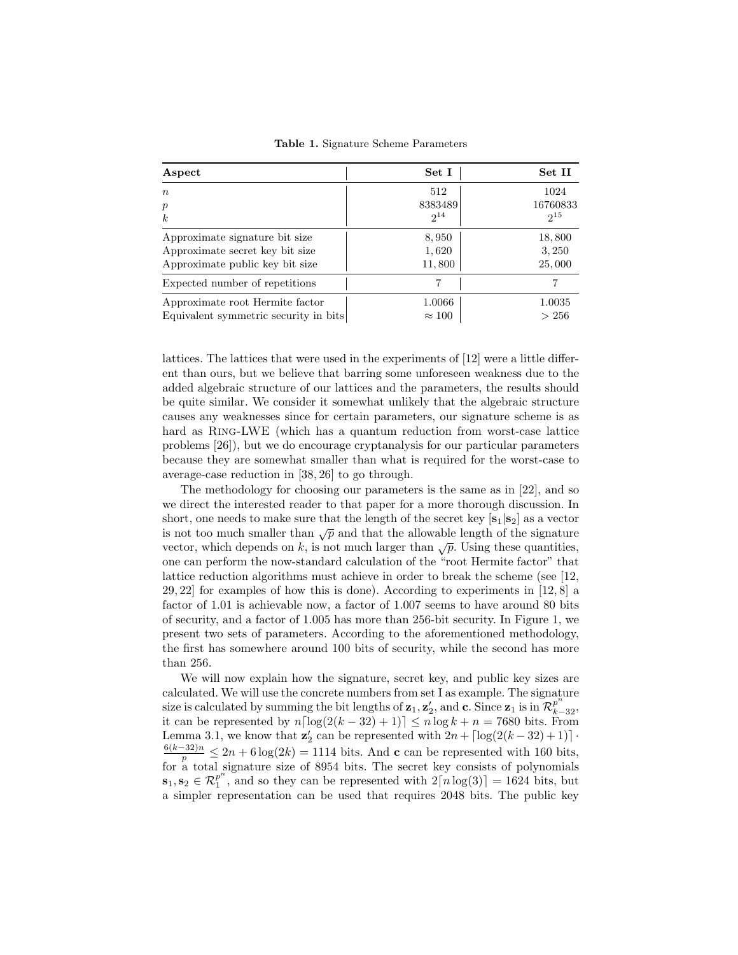| Aspect                                | Set I         | Set II   |
|---------------------------------------|---------------|----------|
| $\boldsymbol{n}$                      | 512           | 1024     |
| $\boldsymbol{p}$                      | 8383489       | 16760833 |
| $\boldsymbol{k}$                      | $2^{14}$      | $2^{15}$ |
| Approximate signature bit size        | 8,950         | 18,800   |
| Approximate secret key bit size       | 1,620         | 3,250    |
| Approximate public key bit size       | 11,800        | 25,000   |
| Expected number of repetitions        |               |          |
| Approximate root Hermite factor       | 1.0066        | 1.0035   |
| Equivalent symmetric security in bits | $\approx 100$ | > 256    |

Table 1. Signature Scheme Parameters

lattices. The lattices that were used in the experiments of [12] were a little different than ours, but we believe that barring some unforeseen weakness due to the added algebraic structure of our lattices and the parameters, the results should be quite similar. We consider it somewhat unlikely that the algebraic structure causes any weaknesses since for certain parameters, our signature scheme is as hard as Ring-LWE (which has a quantum reduction from worst-case lattice problems [26]), but we do encourage cryptanalysis for our particular parameters because they are somewhat smaller than what is required for the worst-case to average-case reduction in [38, 26] to go through.

The methodology for choosing our parameters is the same as in [22], and so we direct the interested reader to that paper for a more thorough discussion. In short, one needs to make sure that the length of the secret key  $[s_1|s_2]$  as a vector is not too much smaller than  $\sqrt{p}$  and that the allowable length of the signature vector, which depends on k, is not much larger than  $\sqrt{p}$ . Using these quantities, one can perform the now-standard calculation of the "root Hermite factor" that lattice reduction algorithms must achieve in order to break the scheme (see [12, 29, 22] for examples of how this is done). According to experiments in [12, 8] a factor of 1.01 is achievable now, a factor of 1.007 seems to have around 80 bits of security, and a factor of 1.005 has more than 256-bit security. In Figure 1, we present two sets of parameters. According to the aforementioned methodology, the first has somewhere around 100 bits of security, while the second has more than 256.

We will now explain how the signature, secret key, and public key sizes are calculated. We will use the concrete numbers from set I as example. The signature size is calculated by summing the bit lengths of  $z_1, z'_2$ , and  $c$ . Since  $z_1$  is in  $\mathcal{R}_{k-32}^{p^n}$ , it can be represented by  $n\lceil \log(2(k-32)+1) \rceil \le n \log k + n = 7680$  bits. From Lemma 3.1, we know that  $\mathbf{z}'_2$  can be represented with  $2n + \lceil \log(2(k - 32) + 1) \rceil$ .  $\frac{6(k-32)n}{p} \leq 2n + 6\log(2k) = 1114$  bits. And c can be represented with 160 bits, for a total signature size of 8954 bits. The secret key consists of polynomials  $\mathbf{s}_1, \mathbf{s}_2 \in \mathcal{R}_1^{p^n}$ , and so they can be represented with  $2[n\log(3)] = 1624$  bits, but a simpler representation can be used that requires 2048 bits. The public key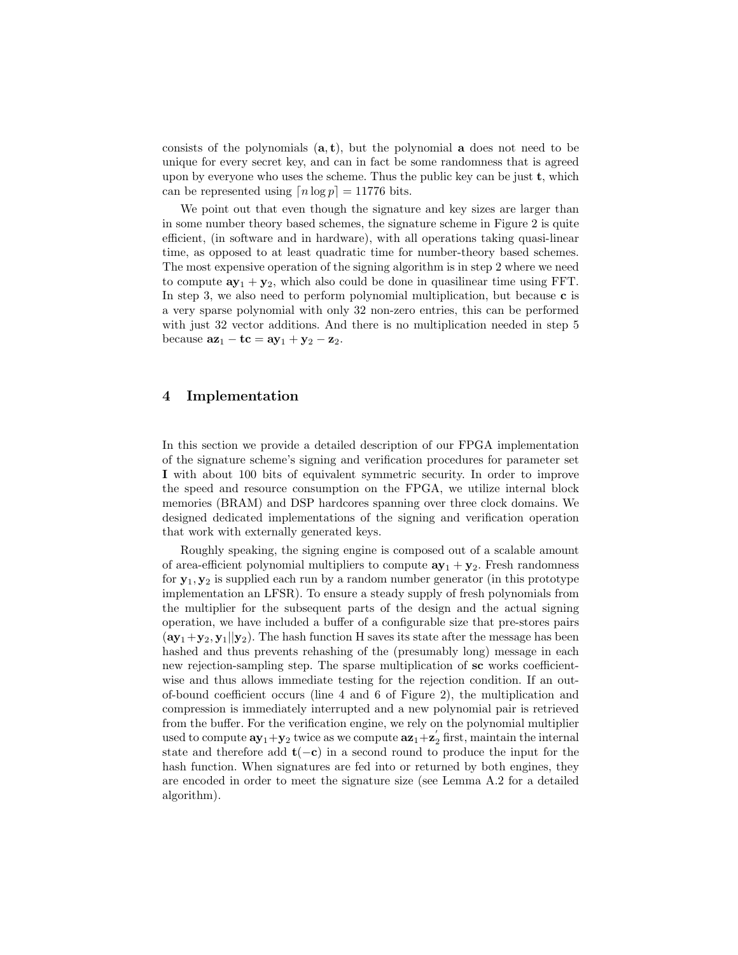consists of the polynomials  $(a, t)$ , but the polynomial a does not need to be unique for every secret key, and can in fact be some randomness that is agreed upon by everyone who uses the scheme. Thus the public key can be just  $t$ , which can be represented using  $[n \log p] = 11776$  bits.

We point out that even though the signature and key sizes are larger than in some number theory based schemes, the signature scheme in Figure 2 is quite efficient, (in software and in hardware), with all operations taking quasi-linear time, as opposed to at least quadratic time for number-theory based schemes. The most expensive operation of the signing algorithm is in step 2 where we need to compute  $ay_1 + y_2$ , which also could be done in quasilinear time using FFT. In step 3, we also need to perform polynomial multiplication, but because  $\bf{c}$  is a very sparse polynomial with only 32 non-zero entries, this can be performed with just 32 vector additions. And there is no multiplication needed in step 5 because  $az_1 - tc = ay_1 + y_2 - z_2$ .

## 4 Implementation

In this section we provide a detailed description of our FPGA implementation of the signature scheme's signing and verification procedures for parameter set I with about 100 bits of equivalent symmetric security. In order to improve the speed and resource consumption on the FPGA, we utilize internal block memories (BRAM) and DSP hardcores spanning over three clock domains. We designed dedicated implementations of the signing and verification operation that work with externally generated keys.

Roughly speaking, the signing engine is composed out of a scalable amount of area-efficient polynomial multipliers to compute  $ay_1 + y_2$ . Fresh randomness for  $y_1, y_2$  is supplied each run by a random number generator (in this prototype implementation an LFSR). To ensure a steady supply of fresh polynomials from the multiplier for the subsequent parts of the design and the actual signing operation, we have included a buffer of a configurable size that pre-stores pairs  $(\mathbf{a}\mathbf{y}_1+\mathbf{y}_2, \mathbf{y}_1||\mathbf{y}_2)$ . The hash function H saves its state after the message has been hashed and thus prevents rehashing of the (presumably long) message in each new rejection-sampling step. The sparse multiplication of sc works coefficientwise and thus allows immediate testing for the rejection condition. If an outof-bound coefficient occurs (line 4 and 6 of Figure 2), the multiplication and compression is immediately interrupted and a new polynomial pair is retrieved from the buffer. For the verification engine, we rely on the polynomial multiplier used to compute  $ay_1+y_2$  twice as we compute  $az_1+z'_2$  first, maintain the internal state and therefore add  $t(-c)$  in a second round to produce the input for the hash function. When signatures are fed into or returned by both engines, they are encoded in order to meet the signature size (see Lemma A.2 for a detailed algorithm).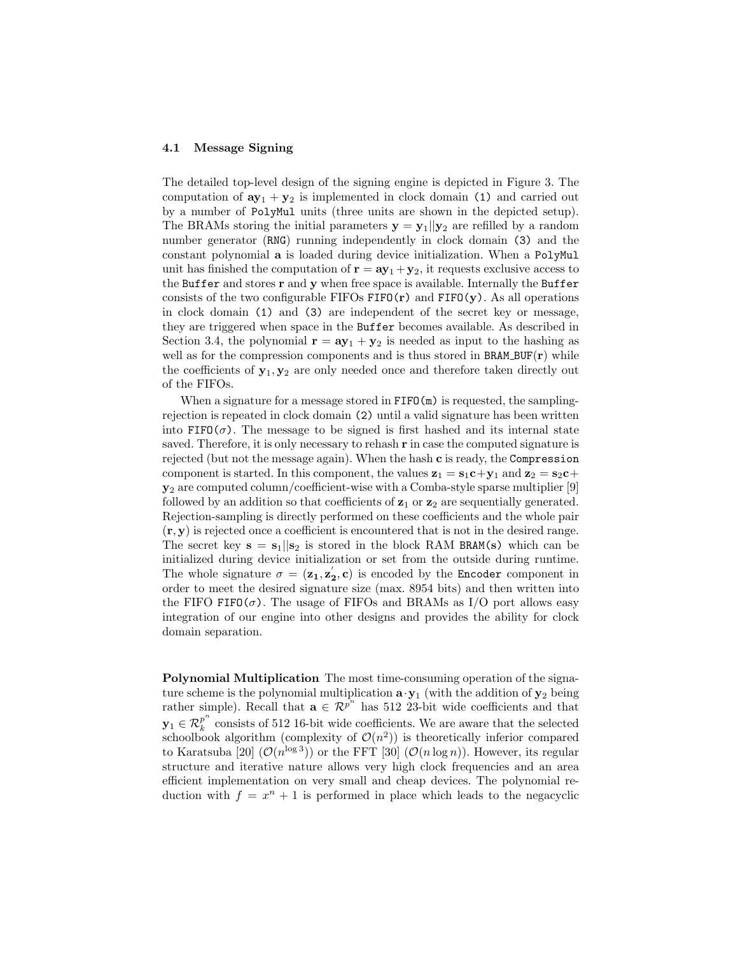#### 4.1 Message Signing

The detailed top-level design of the signing engine is depicted in Figure 3. The computation of  $ay_1 + y_2$  is implemented in clock domain (1) and carried out by a number of PolyMul units (three units are shown in the depicted setup). The BRAMs storing the initial parameters  $y = y_1||y_2$  are refilled by a random number generator (RNG) running independently in clock domain (3) and the constant polynomial a is loaded during device initialization. When a PolyMul unit has finished the computation of  $\mathbf{r} = \mathbf{a} \mathbf{y}_1 + \mathbf{y}_2$ , it requests exclusive access to the Buffer and stores r and y when free space is available. Internally the Buffer consists of the two configurable  $FIFOs FIFO(r)$  and  $FIFO(y)$ . As all operations in clock domain (1) and (3) are independent of the secret key or message, they are triggered when space in the Buffer becomes available. As described in Section 3.4, the polynomial  $\mathbf{r} = \mathbf{a} \mathbf{y}_1 + \mathbf{y}_2$  is needed as input to the hashing as well as for the compression components and is thus stored in  $BRAM_BUF(r)$  while the coefficients of  $y_1, y_2$  are only needed once and therefore taken directly out of the FIFOs.

When a signature for a message stored in  $FIFO(m)$  is requested, the samplingrejection is repeated in clock domain (2) until a valid signature has been written into  $FIFO(\sigma)$ . The message to be signed is first hashed and its internal state saved. Therefore, it is only necessary to rehash  $\bf{r}$  in case the computed signature is rejected (but not the message again). When the hash c is ready, the Compression component is started. In this component, the values  $z_1 = s_1 c + y_1$  and  $z_2 = s_2 c +$  $y_2$  are computed column/coefficient-wise with a Comba-style sparse multiplier [9] followed by an addition so that coefficients of  $z_1$  or  $z_2$  are sequentially generated. Rejection-sampling is directly performed on these coefficients and the whole pair  $(\mathbf{r}, \mathbf{y})$  is rejected once a coefficient is encountered that is not in the desired range. The secret key  $s = s_1||s_2$  is stored in the block RAM BRAM(s) which can be initialized during device initialization or set from the outside during runtime. The whole signature  $\sigma = (\mathbf{z_1}, \mathbf{z'_2}, \mathbf{c})$  is encoded by the Encoder component in order to meet the desired signature size (max. 8954 bits) and then written into the FIFO FIFO( $\sigma$ ). The usage of FIFOs and BRAMs as I/O port allows easy integration of our engine into other designs and provides the ability for clock domain separation.

Polynomial Multiplication The most time-consuming operation of the signature scheme is the polynomial multiplication  $\mathbf{a} \cdot \mathbf{y}_1$  (with the addition of  $\mathbf{y}_2$  being rather simple). Recall that  $\mathbf{a} \in \mathbb{R}^{p^n}$  has 512 23-bit wide coefficients and that  $\mathbf{y}_1 \in {\cal R}_k^{p^n}$  $\frac{p}{k}$  consists of 512 16-bit wide coefficients. We are aware that the selected schoolbook algorithm (complexity of  $\mathcal{O}(n^2)$ ) is theoretically inferior compared to Karatsuba [20]  $(\mathcal{O}(n^{\log 3}))$  or the FFT [30]  $(\mathcal{O}(n \log n))$ . However, its regular structure and iterative nature allows very high clock frequencies and an area efficient implementation on very small and cheap devices. The polynomial reduction with  $f = x^n + 1$  is performed in place which leads to the negacyclic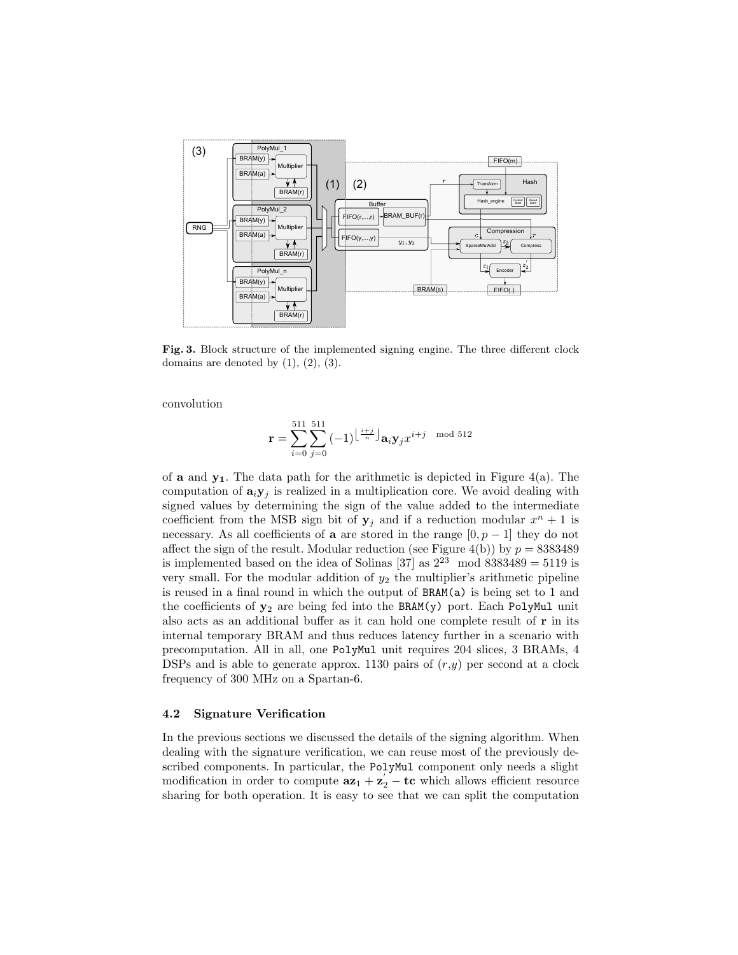

Fig. 3. Block structure of the implemented signing engine. The three different clock domains are denoted by  $(1)$ ,  $(2)$ ,  $(3)$ .

convolution

$$
\mathbf{r} = \sum_{i=0}^{511} \sum_{j=0}^{511} (-1)^{\left\lfloor \frac{i+j}{n} \right\rfloor} \mathbf{a}_i \mathbf{y}_j x^{i+j} \mod 512
$$

of **a** and  $y_1$ . The data path for the arithmetic is depicted in Figure 4(a). The computation of  $\mathbf{a}_i \mathbf{y}_j$  is realized in a multiplication core. We avoid dealing with signed values by determining the sign of the value added to the intermediate coefficient from the MSB sign bit of  $y_j$  and if a reduction modular  $x^n + 1$  is necessary. As all coefficients of **a** are stored in the range  $[0, p - 1]$  they do not affect the sign of the result. Modular reduction (see Figure 4(b)) by  $p = 8383489$ is implemented based on the idea of Solinas [37] as  $2^{23}$  mod  $8383489 = 5119$  is very small. For the modular addition of  $y_2$  the multiplier's arithmetic pipeline is reused in a final round in which the output of BRAM(a) is being set to 1 and the coefficients of  $y_2$  are being fed into the BRAM(y) port. Each PolyMul unit also acts as an additional buffer as it can hold one complete result of r in its internal temporary BRAM and thus reduces latency further in a scenario with precomputation. All in all, one PolyMul unit requires 204 slices, 3 BRAMs, 4 DSPs and is able to generate approx. 1130 pairs of  $(r, y)$  per second at a clock frequency of 300 MHz on a Spartan-6.

## 4.2 Signature Verification

In the previous sections we discussed the details of the signing algorithm. When dealing with the signature verification, we can reuse most of the previously described components. In particular, the PolyMul component only needs a slight modification in order to compute  $az_1 + z_2' - tc$  which allows efficient resource sharing for both operation. It is easy to see that we can split the computation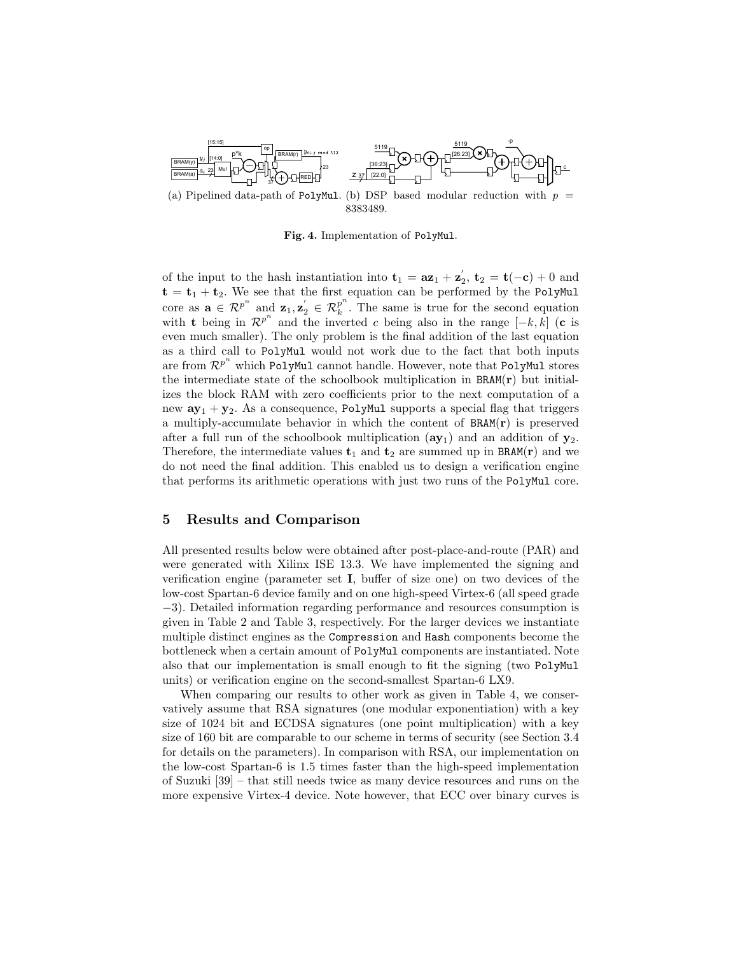

(a) Pipelined data-path of PolyMul. (b) DSP based modular reduction with  $p =$ 8383489.

Fig. 4. Implementation of PolyMul.

of the input to the hash instantiation into  $\mathbf{t}_1 = a\mathbf{z}_1 + \mathbf{z}_2^{\prime}$ ,  $\mathbf{t}_2 = \mathbf{t}(-c) + 0$  and  $t = t_1 + t_2$ . We see that the first equation can be performed by the PolyMul core as  $\mathbf{a} \in \mathcal{R}^{p^n}$  and  $\mathbf{z}_1, \mathbf{z}_2' \in \mathcal{R}_k^{p^n}$  $\frac{p}{k}$ . The same is true for the second equation with **t** being in  $\mathcal{R}^{p^n}$  and the inverted c being also in the range  $[-k, k]$  (**c** is even much smaller). The only problem is the final addition of the last equation as a third call to PolyMul would not work due to the fact that both inputs are from  $\mathcal{R}^{p^n}$  which PolyMul cannot handle. However, note that PolyMul stores the intermediate state of the schoolbook multiplication in  $BRAM(r)$  but initializes the block RAM with zero coefficients prior to the next computation of a new  $ay_1 + y_2$ . As a consequence, PolyMul supports a special flag that triggers a multiply-accumulate behavior in which the content of  $BRAM(r)$  is preserved after a full run of the schoolbook multiplication  $(ay_1)$  and an addition of  $y_2$ . Therefore, the intermediate values  $t_1$  and  $t_2$  are summed up in BRAM(r) and we do not need the final addition. This enabled us to design a verification engine that performs its arithmetic operations with just two runs of the PolyMul core.

## 5 Results and Comparison

All presented results below were obtained after post-place-and-route (PAR) and were generated with Xilinx ISE 13.3. We have implemented the signing and verification engine (parameter set I, buffer of size one) on two devices of the low-cost Spartan-6 device family and on one high-speed Virtex-6 (all speed grade −3). Detailed information regarding performance and resources consumption is given in Table 2 and Table 3, respectively. For the larger devices we instantiate multiple distinct engines as the Compression and Hash components become the bottleneck when a certain amount of PolyMul components are instantiated. Note also that our implementation is small enough to fit the signing (two PolyMul units) or verification engine on the second-smallest Spartan-6 LX9.

When comparing our results to other work as given in Table 4, we conservatively assume that RSA signatures (one modular exponentiation) with a key size of 1024 bit and ECDSA signatures (one point multiplication) with a key size of 160 bit are comparable to our scheme in terms of security (see Section 3.4 for details on the parameters). In comparison with RSA, our implementation on the low-cost Spartan-6 is 1.5 times faster than the high-speed implementation of Suzuki [39] – that still needs twice as many device resources and runs on the more expensive Virtex-4 device. Note however, that ECC over binary curves is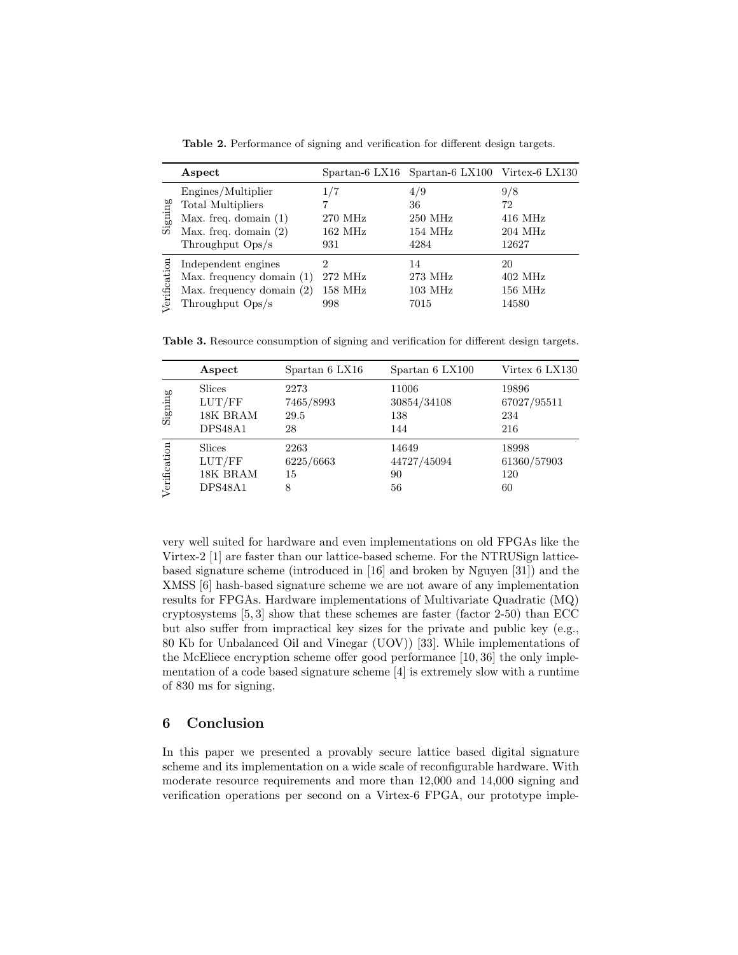|              | Aspect                                                                                                                   |                                            | Spartan-6 LX16 Spartan-6 LX100 Virtex-6 LX130       |                                                        |
|--------------|--------------------------------------------------------------------------------------------------------------------------|--------------------------------------------|-----------------------------------------------------|--------------------------------------------------------|
| Signing      | Engines/Multiplier<br><b>Total Multipliers</b><br>Max. freq. domain $(1)$<br>Max. freq. domain $(2)$<br>Throughput Ops/s | 1/7<br>270 MHz<br>$162 \text{ MHz}$<br>931 | 4/9<br>36<br>$250$ MHz<br>$154 \text{ MHz}$<br>4284 | 9/8<br>72<br>$416$ MHz<br>$204 \mathrm{~MHz}$<br>12627 |
| Verification | Independent engines<br>Max. frequency domain $(1)$<br>Max. frequency domain $(2)$<br>Throughput Ops/s                    | 2<br>272 MHz<br>158 MHz<br>998             | 14<br>273 MHz<br>$103 \text{ MHz}$<br>7015          | 20<br>$402$ MHz<br>$156$ MHz<br>14580                  |

Table 2. Performance of signing and verification for different design targets.

Table 3. Resource consumption of signing and verification for different design targets.

|              | Aspect        | Spartan 6 LX16 | Spartan 6 LX100 | Virtex 6 LX130 |
|--------------|---------------|----------------|-----------------|----------------|
| Signing      | <b>Slices</b> | 2273           | 11006           | 19896          |
|              | LUT/FF        | 7465/8993      | 30854/34108     | 67027/95511    |
|              | 18K BRAM      | 29.5           | 138             | 234            |
|              | DPS48A1       | 28             | 144             | 216            |
| Verification | <b>Slices</b> | 2263           | 14649           | 18998          |
|              | LUT/FF        | 6225/6663      | 44727/45094     | 61360/57903    |
|              | 18K BRAM      | 15             | 90              | 120            |
|              | DPS48A1       | 8              | 56              | 60             |

very well suited for hardware and even implementations on old FPGAs like the Virtex-2 [1] are faster than our lattice-based scheme. For the NTRUSign latticebased signature scheme (introduced in [16] and broken by Nguyen [31]) and the XMSS [6] hash-based signature scheme we are not aware of any implementation results for FPGAs. Hardware implementations of Multivariate Quadratic (MQ) cryptosystems  $[5, 3]$  show that these schemes are faster (factor 2-50) than ECC but also suffer from impractical key sizes for the private and public key (e.g., 80 Kb for Unbalanced Oil and Vinegar (UOV)) [33]. While implementations of the McEliece encryption scheme offer good performance [10, 36] the only implementation of a code based signature scheme [4] is extremely slow with a runtime of 830 ms for signing.

# 6 Conclusion

In this paper we presented a provably secure lattice based digital signature scheme and its implementation on a wide scale of reconfigurable hardware. With moderate resource requirements and more than 12,000 and 14,000 signing and verification operations per second on a Virtex-6 FPGA, our prototype imple-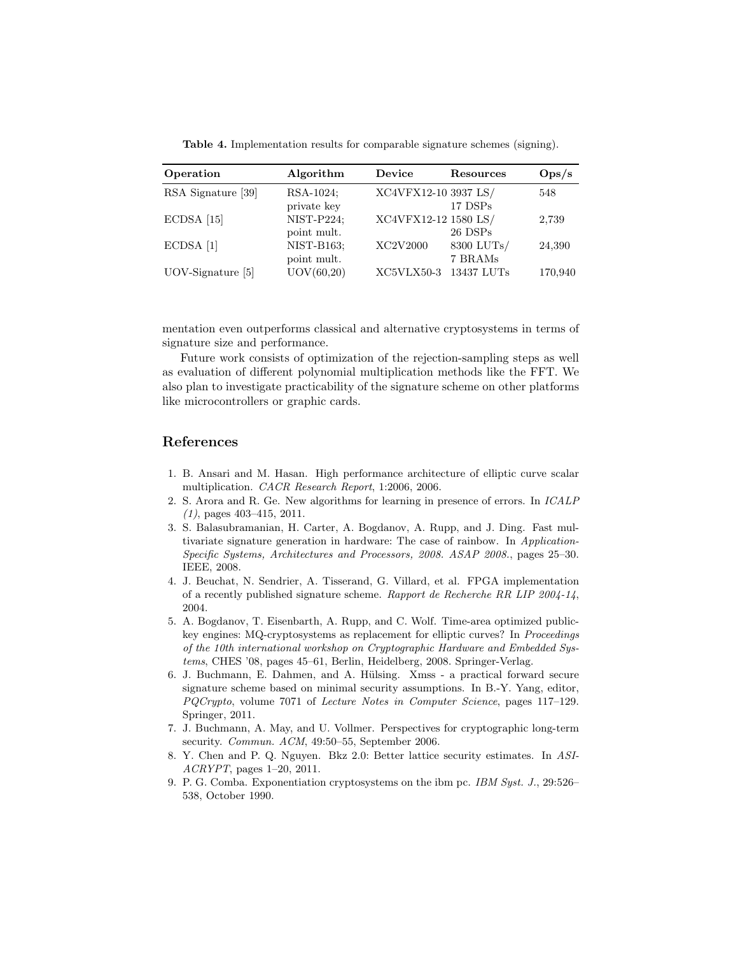Table 4. Implementation results for comparable signature schemes (signing).

| Operation           | Algorithm         | Device               | <b>Resources</b> | $\rm{Ops/s}$ |
|---------------------|-------------------|----------------------|------------------|--------------|
| RSA Signature [39]  | RSA-1024;         | XC4VFX12-10 3937 LS/ |                  | 548          |
|                     | private key       |                      | 17 DSPs          |              |
| $ECDSA$ [15]        | NIST-P224;        | XC4VFX12-12 1580 LS/ |                  | 2,739        |
|                     | point mult.       |                      | 26 DSPs          |              |
| $ECDSA$ [1]         | <b>NIST-B163:</b> | XC2V2000             | 8300 LUTs/       | 24,390       |
|                     | point mult.       |                      | 7 BRAMs          |              |
| $UOV-Signature$ [5] | UOV(60, 20)       | $XC5VLX50-3$         | 13437 LUTs       | 170,940      |

mentation even outperforms classical and alternative cryptosystems in terms of signature size and performance.

Future work consists of optimization of the rejection-sampling steps as well as evaluation of different polynomial multiplication methods like the FFT. We also plan to investigate practicability of the signature scheme on other platforms like microcontrollers or graphic cards.

## References

- 1. B. Ansari and M. Hasan. High performance architecture of elliptic curve scalar multiplication. CACR Research Report, 1:2006, 2006.
- 2. S. Arora and R. Ge. New algorithms for learning in presence of errors. In ICALP  $(1)$ , pages 403-415, 2011.
- 3. S. Balasubramanian, H. Carter, A. Bogdanov, A. Rupp, and J. Ding. Fast multivariate signature generation in hardware: The case of rainbow. In Application-Specific Systems, Architectures and Processors, 2008. ASAP 2008., pages 25–30. IEEE, 2008.
- 4. J. Beuchat, N. Sendrier, A. Tisserand, G. Villard, et al. FPGA implementation of a recently published signature scheme. Rapport de Recherche RR LIP 2004-14, 2004.
- 5. A. Bogdanov, T. Eisenbarth, A. Rupp, and C. Wolf. Time-area optimized publickey engines: MQ-cryptosystems as replacement for elliptic curves? In Proceedings of the 10th international workshop on Cryptographic Hardware and Embedded Systems, CHES '08, pages 45–61, Berlin, Heidelberg, 2008. Springer-Verlag.
- 6. J. Buchmann, E. Dahmen, and A. Hülsing. Xmss a practical forward secure signature scheme based on minimal security assumptions. In B.-Y. Yang, editor, PQCrypto, volume 7071 of Lecture Notes in Computer Science, pages 117–129. Springer, 2011.
- 7. J. Buchmann, A. May, and U. Vollmer. Perspectives for cryptographic long-term security. Commun. ACM, 49:50–55, September 2006.
- 8. Y. Chen and P. Q. Nguyen. Bkz 2.0: Better lattice security estimates. In ASI-ACRYPT, pages 1–20, 2011.
- 9. P. G. Comba. Exponentiation cryptosystems on the ibm pc. IBM Syst. J., 29:526– 538, October 1990.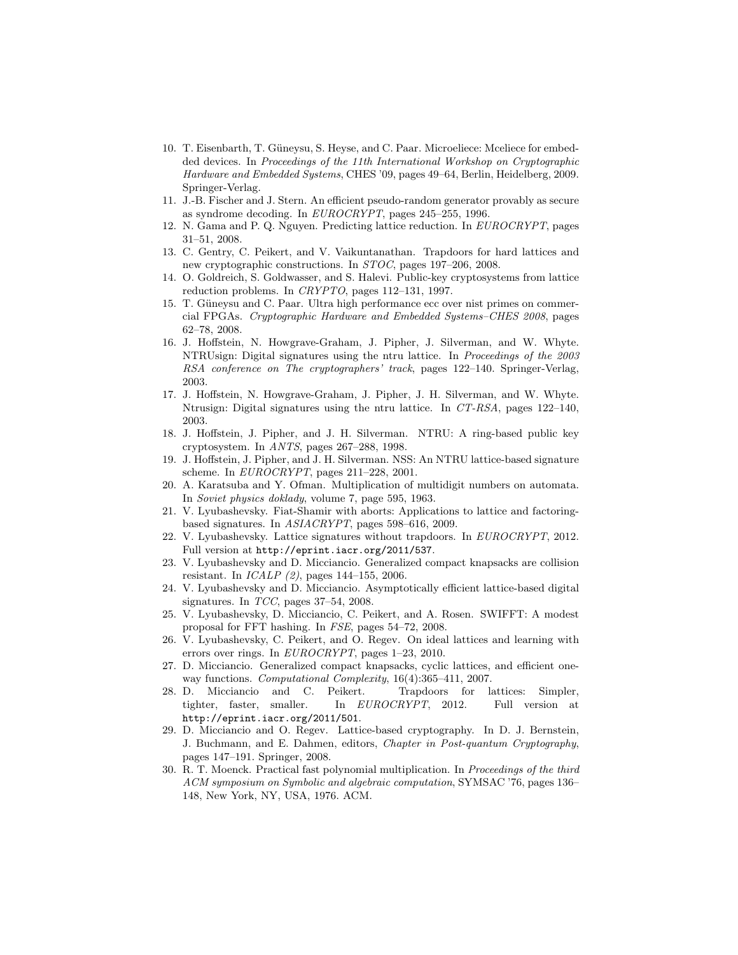- 10. T. Eisenbarth, T. Güneysu, S. Heyse, and C. Paar. Microeliece: Mceliece for embedded devices. In Proceedings of the 11th International Workshop on Cryptographic Hardware and Embedded Systems, CHES '09, pages 49–64, Berlin, Heidelberg, 2009. Springer-Verlag.
- 11. J.-B. Fischer and J. Stern. An efficient pseudo-random generator provably as secure as syndrome decoding. In EUROCRYPT, pages 245–255, 1996.
- 12. N. Gama and P. Q. Nguyen. Predicting lattice reduction. In EUROCRYPT, pages 31–51, 2008.
- 13. C. Gentry, C. Peikert, and V. Vaikuntanathan. Trapdoors for hard lattices and new cryptographic constructions. In STOC, pages 197–206, 2008.
- 14. O. Goldreich, S. Goldwasser, and S. Halevi. Public-key cryptosystems from lattice reduction problems. In CRYPTO, pages 112–131, 1997.
- 15. T. Güneysu and C. Paar. Ultra high performance ecc over nist primes on commercial FPGAs. Cryptographic Hardware and Embedded Systems–CHES 2008, pages 62–78, 2008.
- 16. J. Hoffstein, N. Howgrave-Graham, J. Pipher, J. Silverman, and W. Whyte. NTRUsign: Digital signatures using the ntru lattice. In Proceedings of the 2003 RSA conference on The cryptographers' track, pages 122–140. Springer-Verlag, 2003.
- 17. J. Hoffstein, N. Howgrave-Graham, J. Pipher, J. H. Silverman, and W. Whyte. Ntrusign: Digital signatures using the ntru lattice. In CT-RSA, pages 122–140, 2003.
- 18. J. Hoffstein, J. Pipher, and J. H. Silverman. NTRU: A ring-based public key cryptosystem. In ANTS, pages 267–288, 1998.
- 19. J. Hoffstein, J. Pipher, and J. H. Silverman. NSS: An NTRU lattice-based signature scheme. In EUROCRYPT, pages 211–228, 2001.
- 20. A. Karatsuba and Y. Ofman. Multiplication of multidigit numbers on automata. In Soviet physics doklady, volume 7, page 595, 1963.
- 21. V. Lyubashevsky. Fiat-Shamir with aborts: Applications to lattice and factoringbased signatures. In ASIACRYPT, pages 598–616, 2009.
- 22. V. Lyubashevsky. Lattice signatures without trapdoors. In EUROCRYPT, 2012. Full version at http://eprint.iacr.org/2011/537.
- 23. V. Lyubashevsky and D. Micciancio. Generalized compact knapsacks are collision resistant. In ICALP (2), pages 144–155, 2006.
- 24. V. Lyubashevsky and D. Micciancio. Asymptotically efficient lattice-based digital signatures. In TCC, pages 37–54, 2008.
- 25. V. Lyubashevsky, D. Micciancio, C. Peikert, and A. Rosen. SWIFFT: A modest proposal for FFT hashing. In FSE, pages 54–72, 2008.
- 26. V. Lyubashevsky, C. Peikert, and O. Regev. On ideal lattices and learning with errors over rings. In EUROCRYPT, pages 1–23, 2010.
- 27. D. Micciancio. Generalized compact knapsacks, cyclic lattices, and efficient oneway functions. Computational Complexity, 16(4):365–411, 2007.
- 28. D. Micciancio and C. Peikert. Trapdoors for lattices: Simpler, tighter, faster, smaller. In EUROCRYPT, 2012. Full version at http://eprint.iacr.org/2011/501.
- 29. D. Micciancio and O. Regev. Lattice-based cryptography. In D. J. Bernstein, J. Buchmann, and E. Dahmen, editors, Chapter in Post-quantum Cryptography, pages 147–191. Springer, 2008.
- 30. R. T. Moenck. Practical fast polynomial multiplication. In Proceedings of the third ACM symposium on Symbolic and algebraic computation, SYMSAC '76, pages 136– 148, New York, NY, USA, 1976. ACM.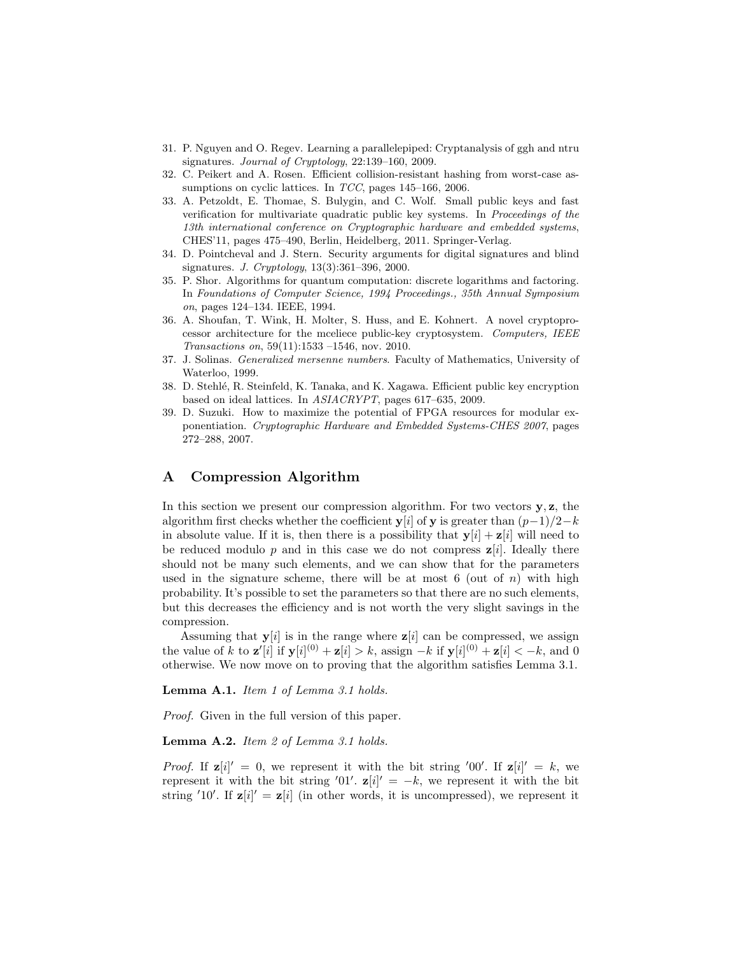- 31. P. Nguyen and O. Regev. Learning a parallelepiped: Cryptanalysis of ggh and ntru signatures. Journal of Cryptology, 22:139–160, 2009.
- 32. C. Peikert and A. Rosen. Efficient collision-resistant hashing from worst-case assumptions on cyclic lattices. In TCC, pages 145–166, 2006.
- 33. A. Petzoldt, E. Thomae, S. Bulygin, and C. Wolf. Small public keys and fast verification for multivariate quadratic public key systems. In Proceedings of the 13th international conference on Cryptographic hardware and embedded systems, CHES'11, pages 475–490, Berlin, Heidelberg, 2011. Springer-Verlag.
- 34. D. Pointcheval and J. Stern. Security arguments for digital signatures and blind signatures. J. Cryptology, 13(3):361–396, 2000.
- 35. P. Shor. Algorithms for quantum computation: discrete logarithms and factoring. In Foundations of Computer Science, 1994 Proceedings., 35th Annual Symposium on, pages 124–134. IEEE, 1994.
- 36. A. Shoufan, T. Wink, H. Molter, S. Huss, and E. Kohnert. A novel cryptoprocessor architecture for the mceliece public-key cryptosystem. Computers, IEEE Transactions on, 59(11):1533 –1546, nov. 2010.
- 37. J. Solinas. Generalized mersenne numbers. Faculty of Mathematics, University of Waterloo, 1999.
- 38. D. Stehl´e, R. Steinfeld, K. Tanaka, and K. Xagawa. Efficient public key encryption based on ideal lattices. In ASIACRYPT, pages 617–635, 2009.
- 39. D. Suzuki. How to maximize the potential of FPGA resources for modular exponentiation. Cryptographic Hardware and Embedded Systems-CHES 2007, pages 272–288, 2007.

# A Compression Algorithm

In this section we present our compression algorithm. For two vectors  $\mathbf{v}, \mathbf{z}$ , the algorithm first checks whether the coefficient y[i] of y is greater than  $(p-1)/2-k$ in absolute value. If it is, then there is a possibility that  $y[i] + z[i]$  will need to be reduced modulo p and in this case we do not compress  $z[i]$ . Ideally there should not be many such elements, and we can show that for the parameters used in the signature scheme, there will be at most 6 (out of  $n$ ) with high probability. It's possible to set the parameters so that there are no such elements, but this decreases the efficiency and is not worth the very slight savings in the compression.

Assuming that  $y[i]$  is in the range where  $z[i]$  can be compressed, we assign the value of k to  $\mathbf{z}'[i]$  if  $\mathbf{y}[i]^{(0)} + \mathbf{z}[i] > k$ , assign  $-k$  if  $\mathbf{y}[i]^{(0)} + \mathbf{z}[i] < -k$ , and 0 otherwise. We now move on to proving that the algorithm satisfies Lemma 3.1.

Lemma A.1. Item 1 of Lemma 3.1 holds.

Proof. Given in the full version of this paper.

Lemma A.2. Item 2 of Lemma 3.1 holds.

*Proof.* If  $\mathbf{z}[i]' = 0$ , we represent it with the bit string '00'. If  $\mathbf{z}[i]' = k$ , we represent it with the bit string '01'.  $\mathbf{z}[i]' = -k$ , we represent it with the bit string '10'. If  $z[i]' = z[i]$  (in other words, it is uncompressed), we represent it